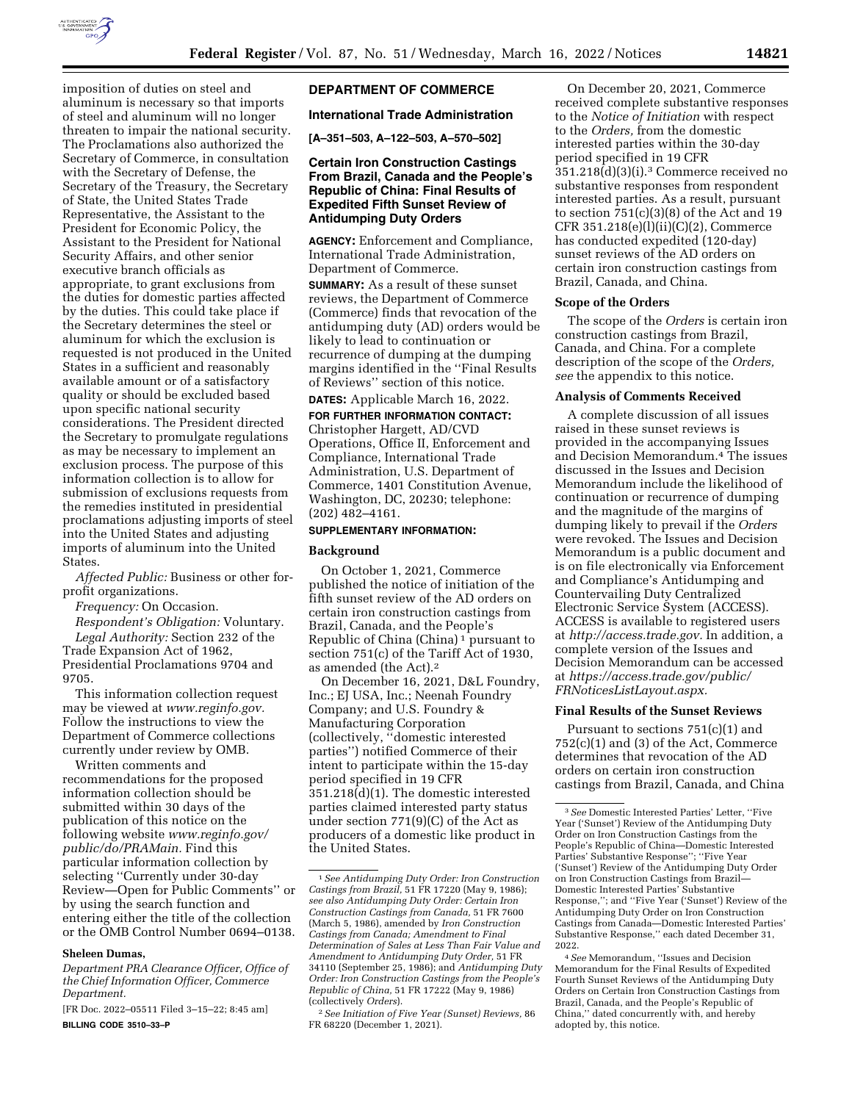

imposition of duties on steel and aluminum is necessary so that imports of steel and aluminum will no longer threaten to impair the national security. The Proclamations also authorized the Secretary of Commerce, in consultation with the Secretary of Defense, the Secretary of the Treasury, the Secretary of State, the United States Trade Representative, the Assistant to the President for Economic Policy, the Assistant to the President for National Security Affairs, and other senior executive branch officials as appropriate, to grant exclusions from the duties for domestic parties affected by the duties. This could take place if the Secretary determines the steel or aluminum for which the exclusion is requested is not produced in the United States in a sufficient and reasonably available amount or of a satisfactory quality or should be excluded based upon specific national security considerations. The President directed the Secretary to promulgate regulations as may be necessary to implement an exclusion process. The purpose of this information collection is to allow for submission of exclusions requests from the remedies instituted in presidential proclamations adjusting imports of steel into the United States and adjusting imports of aluminum into the United States.

*Affected Public:* Business or other forprofit organizations.

*Frequency:* On Occasion.

*Respondent's Obligation:* Voluntary. *Legal Authority:* Section 232 of the Trade Expansion Act of 1962, Presidential Proclamations 9704 and 9705.

This information collection request may be viewed at *www.reginfo.gov.*  Follow the instructions to view the Department of Commerce collections currently under review by OMB.

Written comments and recommendations for the proposed information collection should be submitted within 30 days of the publication of this notice on the following website *www.reginfo.gov/ public/do/PRAMain.* Find this particular information collection by selecting ''Currently under 30-day Review—Open for Public Comments'' or by using the search function and entering either the title of the collection or the OMB Control Number 0694–0138.

### **Sheleen Dumas,**

*Department PRA Clearance Officer, Office of the Chief Information Officer, Commerce Department.* 

[FR Doc. 2022–05511 Filed 3–15–22; 8:45 am] **BILLING CODE 3510–33–P** 

# **DEPARTMENT OF COMMERCE**

## **International Trade Administration**

**[A–351–503, A–122–503, A–570–502]** 

## **Certain Iron Construction Castings From Brazil, Canada and the People's Republic of China: Final Results of Expedited Fifth Sunset Review of Antidumping Duty Orders**

**AGENCY:** Enforcement and Compliance, International Trade Administration, Department of Commerce.

**SUMMARY:** As a result of these sunset reviews, the Department of Commerce (Commerce) finds that revocation of the antidumping duty (AD) orders would be likely to lead to continuation or recurrence of dumping at the dumping margins identified in the ''Final Results of Reviews'' section of this notice.

**DATES:** Applicable March 16, 2022.

# **FOR FURTHER INFORMATION CONTACT:**  Christopher Hargett, AD/CVD Operations, Office II, Enforcement and Compliance, International Trade Administration, U.S. Department of Commerce, 1401 Constitution Avenue, Washington, DC, 20230; telephone: (202) 482–4161.

# **SUPPLEMENTARY INFORMATION:**

### **Background**

On October 1, 2021, Commerce published the notice of initiation of the fifth sunset review of the AD orders on certain iron construction castings from Brazil, Canada, and the People's Republic of China (China) 1 pursuant to section 751(c) of the Tariff Act of 1930, as amended (the Act).2

On December 16, 2021, D&L Foundry, Inc.; EJ USA, Inc.; Neenah Foundry Company; and U.S. Foundry & Manufacturing Corporation (collectively, ''domestic interested parties'') notified Commerce of their intent to participate within the 15-day period specified in 19 CFR 351.218(d)(1). The domestic interested parties claimed interested party status under section 771(9)(C) of the Act as producers of a domestic like product in the United States.

On December 20, 2021, Commerce received complete substantive responses to the *Notice of Initiation* with respect to the *Orders,* from the domestic interested parties within the 30-day period specified in 19 CFR 351.218(d)(3)(i).3 Commerce received no substantive responses from respondent interested parties. As a result, pursuant to section  $751(c)(3)(8)$  of the Act and 19 CFR 351.218(e)(l)(ii)(C)(2), Commerce has conducted expedited (120-day) sunset reviews of the AD orders on certain iron construction castings from Brazil, Canada, and China.

#### **Scope of the Orders**

The scope of the *Orders* is certain iron construction castings from Brazil, Canada, and China. For a complete description of the scope of the *Orders, see* the appendix to this notice.

### **Analysis of Comments Received**

A complete discussion of all issues raised in these sunset reviews is provided in the accompanying Issues and Decision Memorandum.4 The issues discussed in the Issues and Decision Memorandum include the likelihood of continuation or recurrence of dumping and the magnitude of the margins of dumping likely to prevail if the *Orders*  were revoked. The Issues and Decision Memorandum is a public document and is on file electronically via Enforcement and Compliance's Antidumping and Countervailing Duty Centralized Electronic Service System (ACCESS). ACCESS is available to registered users at *http://access.trade.gov.* In addition, a complete version of the Issues and Decision Memorandum can be accessed at *https://access.trade.gov/public/ FRNoticesListLayout.aspx.* 

## **Final Results of the Sunset Reviews**

Pursuant to sections 751(c)(1) and 752(c)(1) and (3) of the Act, Commerce determines that revocation of the AD orders on certain iron construction castings from Brazil, Canada, and China

4*See* Memorandum, ''Issues and Decision Memorandum for the Final Results of Expedited Fourth Sunset Reviews of the Antidumping Duty Orders on Certain Iron Construction Castings from Brazil, Canada, and the People's Republic of China,'' dated concurrently with, and hereby adopted by, this notice.

<sup>1</sup>*See Antidumping Duty Order: Iron Construction Castings from Brazil,* 51 FR 17220 (May 9, 1986); *see also Antidumping Duty Order: Certain Iron Construction Castings from Canada,* 51 FR 7600 (March 5, 1986), amended by *Iron Construction Castings from Canada; Amendment to Final Determination of Sales at Less Than Fair Value and Amendment to Antidumping Duty Order,* 51 FR 34110 (September 25, 1986); and *Antidumping Duty Order: Iron Construction Castings from the People's Republic of China,* 51 FR 17222 (May 9, 1986) (collectively *Orders*).

<sup>2</sup>*See Initiation of Five Year (Sunset) Reviews,* 86 FR 68220 (December 1, 2021).

<sup>3</sup>*See* Domestic Interested Parties' Letter, ''Five Year ('Sunset') Review of the Antidumping Duty Order on Iron Construction Castings from the People's Republic of China—Domestic Interested Parties' Substantive Response"; "Five Year ('Sunset') Review of the Antidumping Duty Order on Iron Construction Castings from Brazil— Domestic Interested Parties' Substantive Response,''; and ''Five Year ('Sunset') Review of the Antidumping Duty Order on Iron Construction Castings from Canada—Domestic Interested Parties' Substantive Response,'' each dated December 31, 2022.